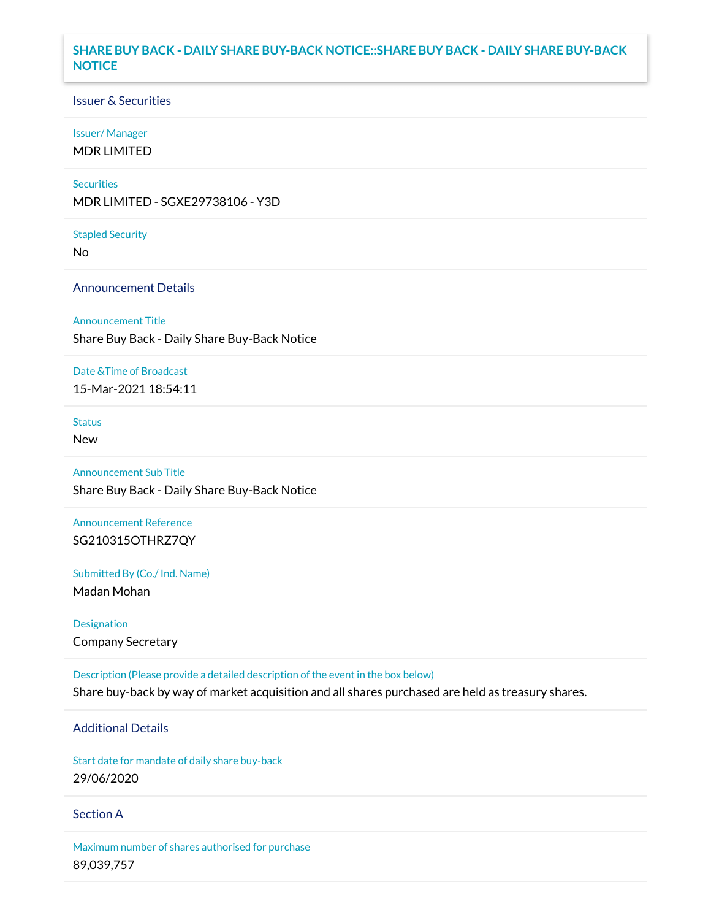## **SHARE BUY BACK - DAILY SHARE BUY-BACK NOTICE::SHARE BUY BACK - DAILY SHARE BUY-BACK NOTICE**

### Issuer & Securities

### Issuer/ Manager

MDR LIMITED

### **Securities**

MDR LIMITED - SGXE29738106 - Y3D

#### Stapled Security

No

## Announcement Details

### Announcement Title

Share Buy Back - Daily Share Buy-Back Notice

### Date &Time of Broadcast

15-Mar-2021 18:54:11

## Status

New

# Announcement Sub Title

Share Buy Back - Daily Share Buy-Back Notice

# Announcement Reference SG210315OTHRZ7QY

Submitted By (Co./ Ind. Name)

Madan Mohan

Designation Company Secretary

Description (Please provide a detailed description of the event in the box below) Share buy-back by way of market acquisition and all shares purchased are held as treasury shares.

# Additional Details

Start date for mandate of daily share buy-back 29/06/2020

### Section A

Maximum number of shares authorised for purchase 89,039,757